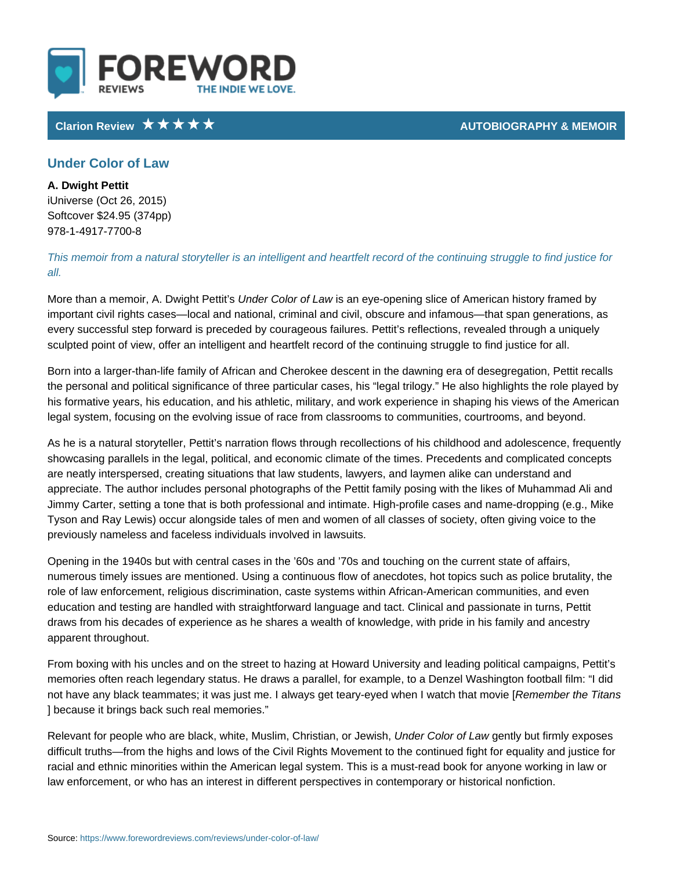## Clarion Review **AUTOBIOGRAPHY &**

## Under Color of Law

A. Dwight Pettit iUniverse (Oct 26, 2015) Softcover \$24.95 (374pp) 978-1-4917-7700-8

This memoir from a natural storyteller is an intelligent and heartfelt record of t all.

More than a memoir, A. DU waidgehrt CP celtot it to stime weye-opening slice of American histor important civil rights cases local and national, criminal and civil, obscure and every successful step forward is preceded by courageous failures. Pettit s refle sculpted point of view, offer an intelligent and heartfelt record of the continuin

Born into a larger-than-life family of African and Cherokee descent in the dawn the personal and political significance of three particular cases, his legal trilc his formative years, his education, and his athletic, military, and work experier legal system, focusing on the evolving issue of race from classrooms to commun

As he is a natural storyteller, Pettit s narration flows through recollections of l showcasing parallels in the legal, political, and economic climate of the times. are neatly interspersed, creating situations that law students, lawyers, and lay appreciate. The author includes personal photographs of the Pettit family posin Jimmy Carter, setting a tone that is both professional and intimate. High-profile Tyson and Ray Lewis) occur alongside tales of men and women of all classes of previously nameless and faceless individuals involved in lawsuits.

Opening in the 1940s but with central cases in the 60s and 70s and touching on numerous timely issues are mentioned. Using a continuous flow of anecdotes, h role of law enforcement, religious discrimination, caste systems within Africaneducation and testing are handled with straightforward language and tact. Clini draws from his decades of experience as he shares a wealth of knowledge, with apparent throughout.

From boxing with his uncles and on the street to hazing at Howard University a memories often reach legendary status. He draws a parallel, for example, to a l not have any black teammates; it was just me. I always get Reeamny-mebyeerd thr**e** e Thitlanw ] because it brings back such real memories.

Relevant for people who are black, white, MuUsnidmer Cbiros tionsfind, but is minly expos difficult truths from the highs and lows of the Civil Rights Movement to the con racial and ethnic minorities within the American legal system. This is a must-re law enforcement, or who has an interest in different perspectives in contempora